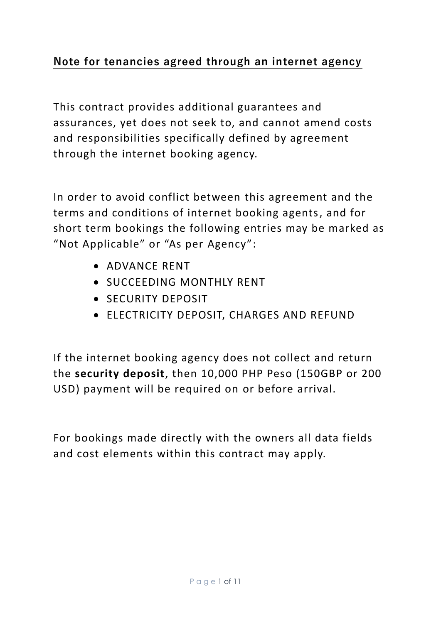## **Note for tenancies agreed through an internet agency**

This contract provides additional guarantees and assurances, yet does not seek to, and cannot amend costs and responsibilities specifically defined by agreement through the internet booking agency.

In order to avoid conflict between this agreement and the terms and conditions of internet booking agents, and for short term bookings the following entries may be marked as "Not Applicable" or "As per Agency":

- ADVANCE RENT
- SUCCEEDING MONTHLY RENT
- SECURITY DEPOSIT
- ELECTRICITY DEPOSIT, CHARGES AND REFUND

If the internet booking agency does not collect and return the **security deposit**, then 10,000 PHP Peso (150GBP or 200 USD) payment will be required on or before arrival.

For bookings made directly with the owners all data fields and cost elements within this contract may apply.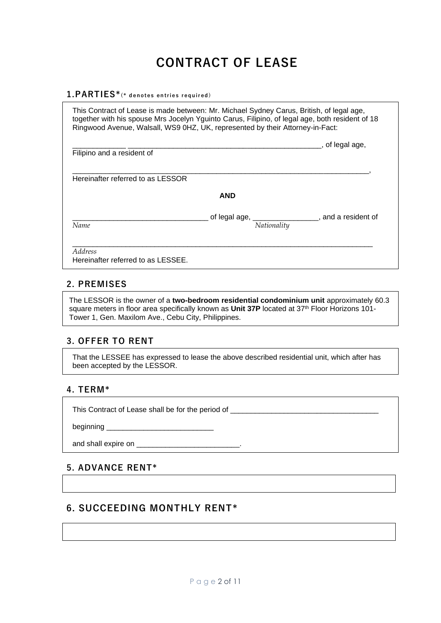## **CONTRACT OF LEASE**

#### **1.PARTIES\*(\* d en ot es en tri e s r eq ui r ed )**

This Contract of Lease is made between: Mr. Michael Sydney Carus, British, of legal age, together with his spouse Mrs Jocelyn Yguinto Carus, Filipino, of legal age, both resident of 18 Ringwood Avenue, Walsall, WS9 0HZ, UK, represented by their Attorney-in-Fact: \_\_\_\_\_\_\_\_\_\_\_\_\_ \_\_\_\_\_\_\_\_\_\_\_\_\_\_\_\_\_\_\_\_\_\_\_\_\_\_\_\_\_\_\_\_\_\_\_\_\_\_\_\_\_\_\_\_\_\_\_, of legal age, Filipino and a resident of \_\_\_\_\_\_\_\_\_\_\_\_\_\_\_\_\_\_\_\_\_\_\_\_\_\_\_\_\_\_\_\_\_\_\_\_\_\_\_\_\_\_\_\_\_\_\_\_\_\_\_\_\_\_\_\_\_\_\_\_\_\_\_\_\_\_\_\_\_\_\_\_, Hereinafter referred to as LESSOR **AND** \_\_\_\_\_\_\_\_\_\_\_\_\_\_\_\_\_\_\_\_\_\_\_\_\_\_\_\_\_\_\_\_\_ of legal age, \_\_\_\_\_\_\_\_\_\_\_\_\_\_\_\_, and a resident of *Name Nationality*  $\_$  ,  $\_$  ,  $\_$  ,  $\_$  ,  $\_$  ,  $\_$  ,  $\_$  ,  $\_$  ,  $\_$  ,  $\_$  ,  $\_$  ,  $\_$  ,  $\_$  ,  $\_$  ,  $\_$  ,  $\_$  ,  $\_$  ,  $\_$  ,  $\_$  ,  $\_$  ,  $\_$  ,  $\_$  ,  $\_$  ,  $\_$  ,  $\_$  ,  $\_$  ,  $\_$  ,  $\_$  ,  $\_$  ,  $\_$  ,  $\_$  ,  $\_$  ,  $\_$  ,  $\_$  ,  $\_$  ,  $\_$  ,  $\_$  , *Address*  Hereinafter referred to as LESSEE.

#### **2. PREMISES**

The LESSOR is the owner of a **two-bedroom residential condominium unit** approximately 60.3 square meters in floor area specifically known as **Unit 37P** located at 37th Floor Horizons 101- Tower 1, Gen. Maxilom Ave., Cebu City, Philippines.

#### **3. OFFER TO RENT**

That the LESSEE has expressed to lease the above described residential unit, which after has been accepted by the LESSOR.

#### **4. TERM\***

This Contract of Lease shall be for the period of

beginning **beginning** 

and shall expire on **and shall expire on** 

#### **5. ADVANCE RENT\***

## **6. SUCCEEDING MONTHLY RENT\***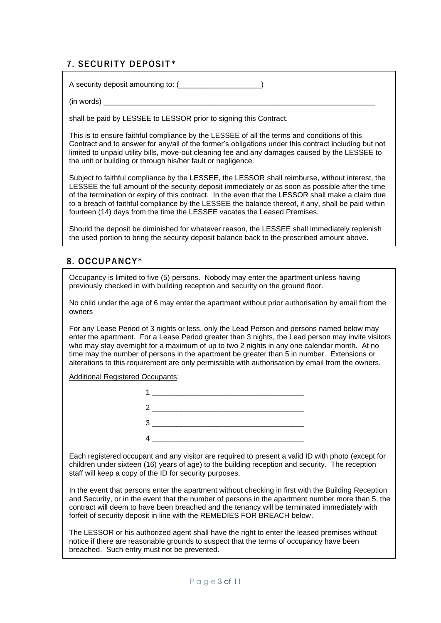#### **7. SECURITY DEPOSIT\***

A security deposit amounting to: (\_\_\_\_\_\_\_\_\_\_\_\_\_\_\_\_\_\_\_\_\_)

 $(in \text{ words})$ 

shall be paid by LESSEE to LESSOR prior to signing this Contract.

This is to ensure faithful compliance by the LESSEE of all the terms and conditions of this Contract and to answer for any/all of the former's obligations under this contract including but not limited to unpaid utility bills, move-out cleaning fee and any damages caused by the LESSEE to the unit or building or through his/her fault or negligence.

Subject to faithful compliance by the LESSEE, the LESSOR shall reimburse, without interest, the LESSEE the full amount of the security deposit immediately or as soon as possible after the time of the termination or expiry of this contract. In the even that the LESSOR shall make a claim due to a breach of faithful compliance by the LESSEE the balance thereof, if any, shall be paid within fourteen (14) days from the time the LESSEE vacates the Leased Premises.

Should the deposit be diminished for whatever reason, the LESSEE shall immediately replenish the used portion to bring the security deposit balance back to the prescribed amount above.

#### **8. OCCUPANCY\***

Occupancy is limited to five (5) persons. Nobody may enter the apartment unless having previously checked in with building reception and security on the ground floor.

No child under the age of 6 may enter the apartment without prior authorisation by email from the owners

For any Lease Period of 3 nights or less, only the Lead Person and persons named below may enter the apartment. For a Lease Period greater than 3 nights, the Lead person may invite visitors who may stay overnight for a maximum of up to two 2 nights in any one calendar month. At no time may the number of persons in the apartment be greater than 5 in number. Extensions or alterations to this requirement are only permissible with authorisation by email from the owners.

Additional Registered Occupants:



Each registered occupant and any visitor are required to present a valid ID with photo (except for children under sixteen (16) years of age) to the building reception and security. The reception staff will keep a copy of the ID for security purposes.

In the event that persons enter the apartment without checking in first with the Building Reception and Security, or in the event that the number of persons in the apartment number more than 5, the contract will deem to have been breached and the tenancy will be terminated immediately with forfeit of security deposit in line with the REMEDIES FOR BREACH below.

The LESSOR or his authorized agent shall have the right to enter the leased premises without notice if there are reasonable grounds to suspect that the terms of occupancy have been breached. Such entry must not be prevented.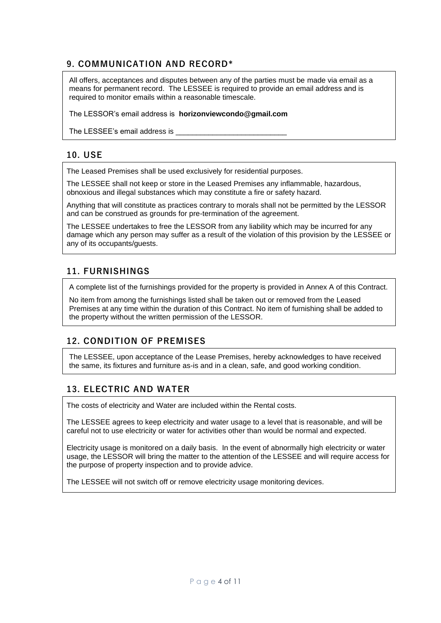## **9. COMMUNICATION AND RECORD\***

All offers, acceptances and disputes between any of the parties must be made via email as a means for permanent record. The LESSEE is required to provide an email address and is required to monitor emails within a reasonable timescale.

The LESSOR's email address is **horizonviewcondo@gmail.com**

The LESSEE's email address is

### **10. USE**

The Leased Premises shall be used exclusively for residential purposes.

The LESSEE shall not keep or store in the Leased Premises any inflammable, hazardous, obnoxious and illegal substances which may constitute a fire or safety hazard.

Anything that will constitute as practices contrary to morals shall not be permitted by the LESSOR and can be construed as grounds for pre-termination of the agreement.

The LESSEE undertakes to free the LESSOR from any liability which may be incurred for any damage which any person may suffer as a result of the violation of this provision by the LESSEE or any of its occupants/guests.

## **11. FURNISHINGS**

A complete list of the furnishings provided for the property is provided in Annex A of this Contract.

No item from among the furnishings listed shall be taken out or removed from the Leased Premises at any time within the duration of this Contract. No item of furnishing shall be added to the property without the written permission of the LESSOR.

#### **12. CONDITION OF PREMISES**

The LESSEE, upon acceptance of the Lease Premises, hereby acknowledges to have received the same, its fixtures and furniture as-is and in a clean, safe, and good working condition.

#### **13. ELECTRIC AND WATER**

The costs of electricity and Water are included within the Rental costs.

The LESSEE agrees to keep electricity and water usage to a level that is reasonable, and will be careful not to use electricity or water for activities other than would be normal and expected.

Electricity usage is monitored on a daily basis. In the event of abnormally high electricity or water usage, the LESSOR will bring the matter to the attention of the LESSEE and will require access for the purpose of property inspection and to provide advice.

The LESSEE will not switch off or remove electricity usage monitoring devices.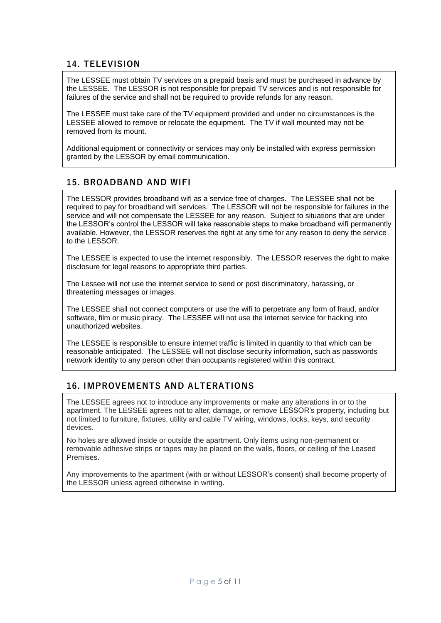## **14. TELEVISION**

The LESSEE must obtain TV services on a prepaid basis and must be purchased in advance by the LESSEE. The LESSOR is not responsible for prepaid TV services and is not responsible for failures of the service and shall not be required to provide refunds for any reason.

The LESSEE must take care of the TV equipment provided and under no circumstances is the LESSEE allowed to remove or relocate the equipment. The TV if wall mounted may not be removed from its mount.

Additional equipment or connectivity or services may only be installed with express permission granted by the LESSOR by email communication.

#### **15. BROADBAND AND WIFI**

The LESSOR provides broadband wifi as a service free of charges. The LESSEE shall not be required to pay for broadband wifi services. The LESSOR will not be responsible for failures in the service and will not compensate the LESSEE for any reason. Subject to situations that are under the LESSOR's control the LESSOR will take reasonable steps to make broadband wifi permanently available. However, the LESSOR reserves the right at any time for any reason to deny the service to the LESSOR.

The LESSEE is expected to use the internet responsibly. The LESSOR reserves the right to make disclosure for legal reasons to appropriate third parties.

The Lessee will not use the internet service to send or post discriminatory, harassing, or threatening messages or images.

The LESSEE shall not connect computers or use the wifi to perpetrate any form of fraud, and/or software, film or music piracy. The LESSEE will not use the internet service for hacking into unauthorized websites.

The LESSEE is responsible to ensure internet traffic is limited in quantity to that which can be reasonable anticipated. The LESSEE will not disclose security information, such as passwords network identity to any person other than occupants registered within this contract.

#### **16. IMPROVEMENTS AND ALTERATIONS**

The LESSEE agrees not to introduce any improvements or make any alterations in or to the apartment. The LESSEE agrees not to alter, damage, or remove LESSOR's property, including but not limited to furniture, fixtures, utility and cable TV wiring, windows, locks, keys, and security devices.

No holes are allowed inside or outside the apartment. Only items using non-permanent or removable adhesive strips or tapes may be placed on the walls, floors, or ceiling of the Leased Premises.

Any improvements to the apartment (with or without LESSOR's consent) shall become property of the LESSOR unless agreed otherwise in writing.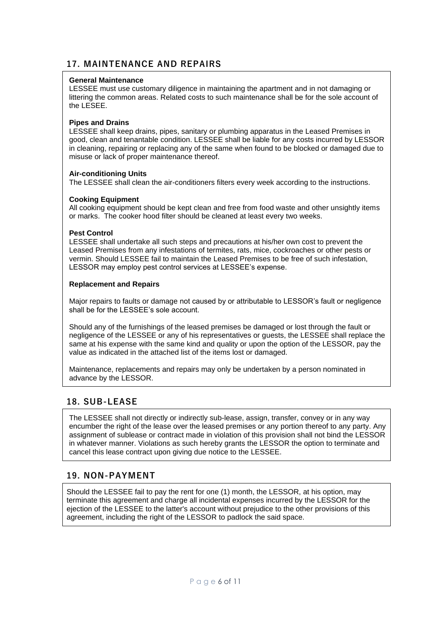#### **17. MAINTENANCE AND REPAIRS**

#### **General Maintenance**

LESSEE must use customary diligence in maintaining the apartment and in not damaging or littering the common areas. Related costs to such maintenance shall be for the sole account of the LESEE.

#### **Pipes and Drains**

LESSEE shall keep drains, pipes, sanitary or plumbing apparatus in the Leased Premises in good, clean and tenantable condition. LESSEE shall be liable for any costs incurred by LESSOR in cleaning, repairing or replacing any of the same when found to be blocked or damaged due to misuse or lack of proper maintenance thereof.

#### **Air-conditioning Units**

The LESSEE shall clean the air-conditioners filters every week according to the instructions.

#### **Cooking Equipment**

All cooking equipment should be kept clean and free from food waste and other unsightly items or marks. The cooker hood filter should be cleaned at least every two weeks.

#### **Pest Control**

LESSEE shall undertake all such steps and precautions at his/her own cost to prevent the Leased Premises from any infestations of termites, rats, mice, cockroaches or other pests or vermin. Should LESSEE fail to maintain the Leased Premises to be free of such infestation, LESSOR may employ pest control services at LESSEE's expense.

#### **Replacement and Repairs**

Major repairs to faults or damage not caused by or attributable to LESSOR's fault or negligence shall be for the LESSEE's sole account.

Should any of the furnishings of the leased premises be damaged or lost through the fault or negligence of the LESSEE or any of his representatives or guests, the LESSEE shall replace the same at his expense with the same kind and quality or upon the option of the LESSOR, pay the value as indicated in the attached list of the items lost or damaged.

Maintenance, replacements and repairs may only be undertaken by a person nominated in advance by the LESSOR.

## **18. SUB-LEASE**

The LESSEE shall not directly or indirectly sub-lease, assign, transfer, convey or in any way encumber the right of the lease over the leased premises or any portion thereof to any party. Any assignment of sublease or contract made in violation of this provision shall not bind the LESSOR in whatever manner. Violations as such hereby grants the LESSOR the option to terminate and cancel this lease contract upon giving due notice to the LESSEE.

#### **19. NON-PAYMENT**

Should the LESSEE fail to pay the rent for one (1) month, the LESSOR, at his option, may terminate this agreement and charge all incidental expenses incurred by the LESSOR for the ejection of the LESSEE to the latter's account without prejudice to the other provisions of this agreement, including the right of the LESSOR to padlock the said space.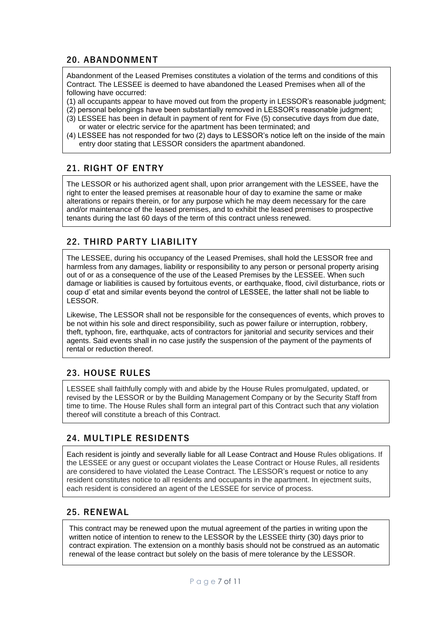#### **20. ABANDONMENT**

Abandonment of the Leased Premises constitutes a violation of the terms and conditions of this Contract. The LESSEE is deemed to have abandoned the Leased Premises when all of the following have occurred:

- (1) all occupants appear to have moved out from the property in LESSOR's reasonable judgment;
- (2) personal belongings have been substantially removed in LESSOR's reasonable judgment;
- (3) LESSEE has been in default in payment of rent for Five (5) consecutive days from due date, or water or electric service for the apartment has been terminated; and
- (4) LESSEE has not responded for two (2) days to LESSOR's notice left on the inside of the main entry door stating that LESSOR considers the apartment abandoned.

#### **21. RIGHT OF ENTRY**

The LESSOR or his authorized agent shall, upon prior arrangement with the LESSEE, have the right to enter the leased premises at reasonable hour of day to examine the same or make alterations or repairs therein, or for any purpose which he may deem necessary for the care and/or maintenance of the leased premises, and to exhibit the leased premises to prospective tenants during the last 60 days of the term of this contract unless renewed.

#### **22. THIRD PARTY LIABILITY**

The LESSEE, during his occupancy of the Leased Premises, shall hold the LESSOR free and harmless from any damages, liability or responsibility to any person or personal property arising out of or as a consequence of the use of the Leased Premises by the LESSEE. When such damage or liabilities is caused by fortuitous events, or earthquake, flood, civil disturbance, riots or coup d' etat and similar events beyond the control of LESSEE, the latter shall not be liable to LESSOR.

Likewise, The LESSOR shall not be responsible for the consequences of events, which proves to be not within his sole and direct responsibility, such as power failure or interruption, robbery, theft, typhoon, fire, earthquake, acts of contractors for janitorial and security services and their agents. Said events shall in no case justify the suspension of the payment of the payments of rental or reduction thereof.

#### **23. HOUSE RULES**

LESSEE shall faithfully comply with and abide by the House Rules promulgated, updated, or revised by the LESSOR or by the Building Management Company or by the Security Staff from time to time. The House Rules shall form an integral part of this Contract such that any violation thereof will constitute a breach of this Contract.

#### **24. MULTIPLE RESIDENTS**

Each resident is jointly and severally liable for all Lease Contract and House Rules obligations. If the LESSEE or any guest or occupant violates the Lease Contract or House Rules, all residents are considered to have violated the Lease Contract. The LESSOR's request or notice to any resident constitutes notice to all residents and occupants in the apartment. In ejectment suits, each resident is considered an agent of the LESSEE for service of process.

#### **25. RENEWAL**

This contract may be renewed upon the mutual agreement of the parties in writing upon the written notice of intention to renew to the LESSOR by the LESSEE thirty (30) days prior to contract expiration. The extension on a monthly basis should not be construed as an automatic renewal of the lease contract but solely on the basis of mere tolerance by the LESSOR.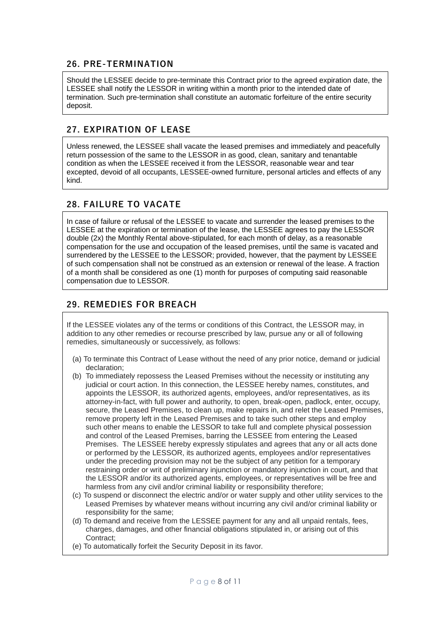#### **26. PRE-TERMINATION**

Should the LESSEE decide to pre-terminate this Contract prior to the agreed expiration date, the LESSEE shall notify the LESSOR in writing within a month prior to the intended date of termination. Such pre-termination shall constitute an automatic forfeiture of the entire security deposit.

### **27. EXPIRATION OF LEASE**

Unless renewed, the LESSEE shall vacate the leased premises and immediately and peacefully return possession of the same to the LESSOR in as good, clean, sanitary and tenantable condition as when the LESSEE received it from the LESSOR, reasonable wear and tear excepted, devoid of all occupants, LESSEE-owned furniture, personal articles and effects of any kind.

## **28. FAILURE TO VACATE**

In case of failure or refusal of the LESSEE to vacate and surrender the leased premises to the LESSEE at the expiration or termination of the lease, the LESSEE agrees to pay the LESSOR double (2x) the Monthly Rental above-stipulated, for each month of delay, as a reasonable compensation for the use and occupation of the leased premises, until the same is vacated and surrendered by the LESSEE to the LESSOR; provided, however, that the payment by LESSEE of such compensation shall not be construed as an extension or renewal of the lease. A fraction of a month shall be considered as one (1) month for purposes of computing said reasonable compensation due to LESSOR.

## **29. REMEDIES FOR BREACH**

If the LESSEE violates any of the terms or conditions of this Contract, the LESSOR may, in addition to any other remedies or recourse prescribed by law, pursue any or all of following remedies, simultaneously or successively, as follows:

- (a) To terminate this Contract of Lease without the need of any prior notice, demand or judicial declaration;
- (b) To immediately repossess the Leased Premises without the necessity or instituting any judicial or court action. In this connection, the LESSEE hereby names, constitutes, and appoints the LESSOR, its authorized agents, employees, and/or representatives, as its attorney-in-fact, with full power and authority, to open, break-open, padlock, enter, occupy, secure, the Leased Premises, to clean up, make repairs in, and relet the Leased Premises, remove property left in the Leased Premises and to take such other steps and employ such other means to enable the LESSOR to take full and complete physical possession and control of the Leased Premises, barring the LESSEE from entering the Leased Premises. The LESSEE hereby expressly stipulates and agrees that any or all acts done or performed by the LESSOR, its authorized agents, employees and/or representatives under the preceding provision may not be the subject of any petition for a temporary restraining order or writ of preliminary injunction or mandatory injunction in court, and that the LESSOR and/or its authorized agents, employees, or representatives will be free and harmless from any civil and/or criminal liability or responsibility therefore;
- (c) To suspend or disconnect the electric and/or or water supply and other utility services to the Leased Premises by whatever means without incurring any civil and/or criminal liability or responsibility for the same;
- (d) To demand and receive from the LESSEE payment for any and all unpaid rentals, fees, charges, damages, and other financial obligations stipulated in, or arising out of this Contract;
- (e) To automatically forfeit the Security Deposit in its favor.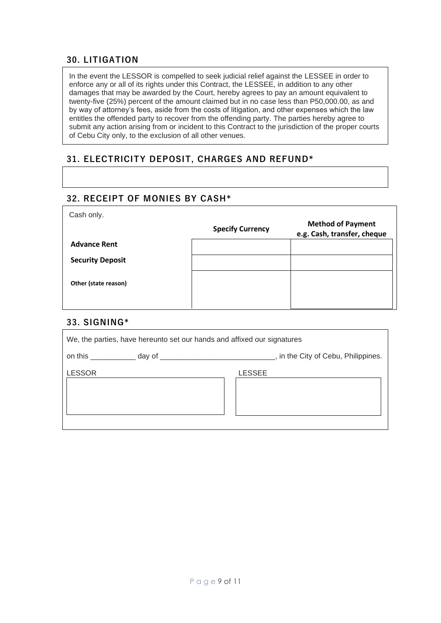#### **30. LITIGATION**

In the event the LESSOR is compelled to seek judicial relief against the LESSEE in order to enforce any or all of its rights under this Contract, the LESSEE, in addition to any other damages that may be awarded by the Court, hereby agrees to pay an amount equivalent to twenty-five (25%) percent of the amount claimed but in no case less than P50,000.00, as and by way of attorney's fees, aside from the costs of litigation, and other expenses which the law entitles the offended party to recover from the offending party. The parties hereby agree to submit any action arising from or incident to this Contract to the jurisdiction of the proper courts of Cebu City only, to the exclusion of all other venues.

## **31. ELECTRICITY DEPOSIT, CHARGES AND REFUND\***

#### **32. RECEIPT OF MONIES BY CASH\***

|                         | <b>Specify Currency</b> | <b>Method of Payment</b><br>e.g. Cash, transfer, cheque |
|-------------------------|-------------------------|---------------------------------------------------------|
| <b>Advance Rent</b>     |                         |                                                         |
| <b>Security Deposit</b> |                         |                                                         |
| Other (state reason)    |                         |                                                         |
|                         |                         |                                                         |

#### **33. SIGNING\***

| We, the parties, have hereunto set our hands and affixed our signatures |        |  |  |
|-------------------------------------------------------------------------|--------|--|--|
|                                                                         |        |  |  |
| <b>LESSOR</b>                                                           | LESSEE |  |  |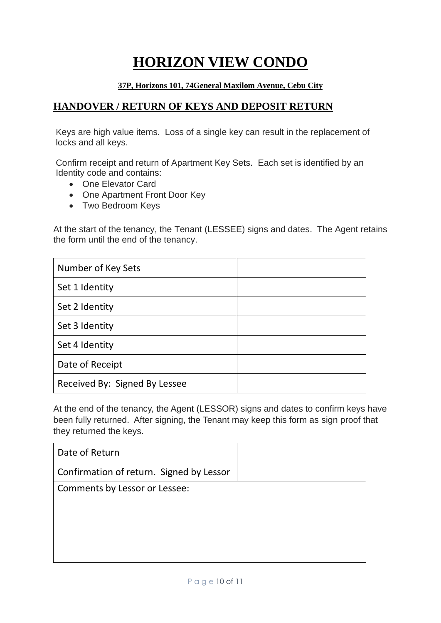# **HORIZON VIEW CONDO**

#### **37P, Horizons 101, 74General Maxilom Avenue, Cebu City**

## **HANDOVER / RETURN OF KEYS AND DEPOSIT RETURN**

Keys are high value items. Loss of a single key can result in the replacement of locks and all keys.

Confirm receipt and return of Apartment Key Sets. Each set is identified by an Identity code and contains:

- One Elevator Card
- One Apartment Front Door Key
- Two Bedroom Keys

At the start of the tenancy, the Tenant (LESSEE) signs and dates. The Agent retains the form until the end of the tenancy.

| Number of Key Sets            |  |
|-------------------------------|--|
| Set 1 Identity                |  |
| Set 2 Identity                |  |
| Set 3 Identity                |  |
| Set 4 Identity                |  |
| Date of Receipt               |  |
| Received By: Signed By Lessee |  |

At the end of the tenancy, the Agent (LESSOR) signs and dates to confirm keys have been fully returned. After signing, the Tenant may keep this form as sign proof that they returned the keys.

| Date of Return                           |  |
|------------------------------------------|--|
| Confirmation of return. Signed by Lessor |  |
| Comments by Lessor or Lessee:            |  |
|                                          |  |
|                                          |  |
|                                          |  |